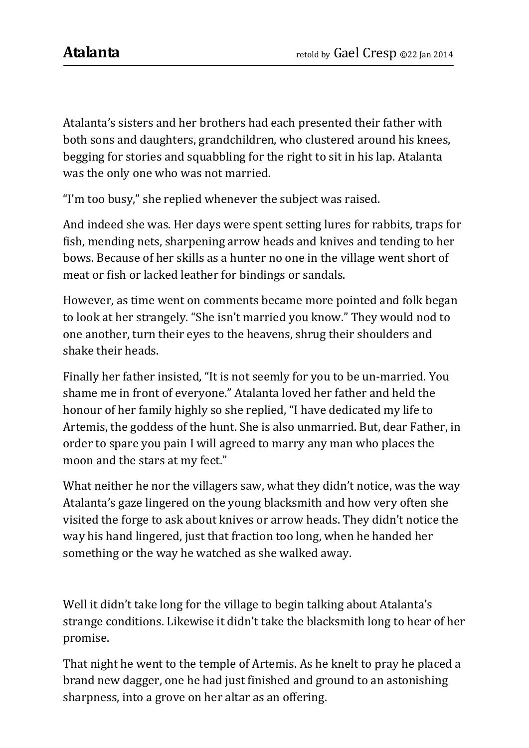Atalanta's sisters and her brothers had each presented their father with both sons and daughters, grandchildren, who clustered around his knees, begging for stories and squabbling for the right to sit in his lap. Atalanta was the only one who was not married.

"I'm too busy," she replied whenever the subject was raised.

And indeed she was. Her days were spent setting lures for rabbits, traps for fish, mending nets, sharpening arrow heads and knives and tending to her bows. Because of her skills as a hunter no one in the village went short of meat or fish or lacked leather for bindings or sandals.

However, as time went on comments became more pointed and folk began to look at her strangely. "She isn't married you know." They would nod to one another, turn their eyes to the heavens, shrug their shoulders and shake their heads.

Finally her father insisted, "It is not seemly for you to be un-married. You shame me in front of everyone." Atalanta loved her father and held the honour of her family highly so she replied, "I have dedicated my life to Artemis, the goddess of the hunt. She is also unmarried. But, dear Father, in order to spare you pain I will agreed to marry any man who places the moon and the stars at my feet."

What neither he nor the villagers saw, what they didn't notice, was the way Atalanta's gaze lingered on the young blacksmith and how very often she visited the forge to ask about knives or arrow heads. They didn't notice the way his hand lingered, just that fraction too long, when he handed her something or the way he watched as she walked away.

Well it didn't take long for the village to begin talking about Atalanta's strange conditions. Likewise it didn't take the blacksmith long to hear of her promise.

That night he went to the temple of Artemis. As he knelt to pray he placed a brand new dagger, one he had just finished and ground to an astonishing sharpness, into a grove on her altar as an offering.